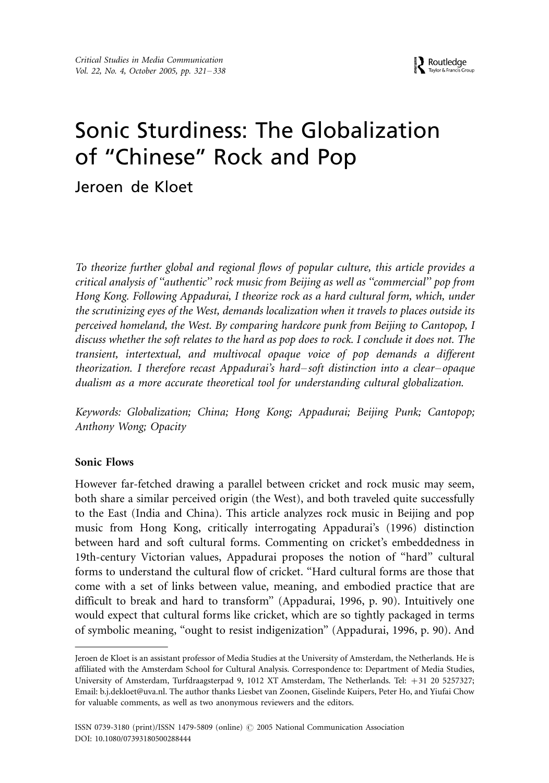# Sonic Sturdiness: The Globalization of ''Chinese'' Rock and Pop

Jeroen de Kloet

To theorize further global and regional flows of popular culture, this article provides a critical analysis of ''authentic'' rock music from Beijing as well as ''commercial'' pop from Hong Kong. Following Appadurai, I theorize rock as a hard cultural form, which, under the scrutinizing eyes of the West, demands localization when it travels to places outside its perceived homeland, the West. By comparing hardcore punk from Beijing to Cantopop, I discuss whether the soft relates to the hard as pop does to rock. I conclude it does not. The transient, intertextual, and multivocal opaque voice of pop demands a different theorization. I therefore recast Appadurai's hard-soft distinction into a clear-opaque dualism as a more accurate theoretical tool for understanding cultural globalization.

Keywords: Globalization; China; Hong Kong; Appadurai; Beijing Punk; Cantopop; Anthony Wong; Opacity

# Sonic Flows

However far-fetched drawing a parallel between cricket and rock music may seem, both share a similar perceived origin (the West), and both traveled quite successfully to the East (India and China). This article analyzes rock music in Beijing and pop music from Hong Kong, critically interrogating Appadurai's (1996) distinction between hard and soft cultural forms. Commenting on cricket's embeddedness in 19th-century Victorian values, Appadurai proposes the notion of ''hard'' cultural forms to understand the cultural flow of cricket. ''Hard cultural forms are those that come with a set of links between value, meaning, and embodied practice that are difficult to break and hard to transform'' (Appadurai, 1996, p. 90). Intuitively one would expect that cultural forms like cricket, which are so tightly packaged in terms of symbolic meaning, ''ought to resist indigenization'' (Appadurai, 1996, p. 90). And

Jeroen de Kloet is an assistant professor of Media Studies at the University of Amsterdam, the Netherlands. He is affiliated with the Amsterdam School for Cultural Analysis. Correspondence to: Department of Media Studies, University of Amsterdam, Turfdraagsterpad 9, 1012 XT Amsterdam, The Netherlands. Tel: +31 20 5257327; Email: b.j.dekloet@uva.nl. The author thanks Liesbet van Zoonen, Giselinde Kuipers, Peter Ho, and Yiufai Chow for valuable comments, as well as two anonymous reviewers and the editors.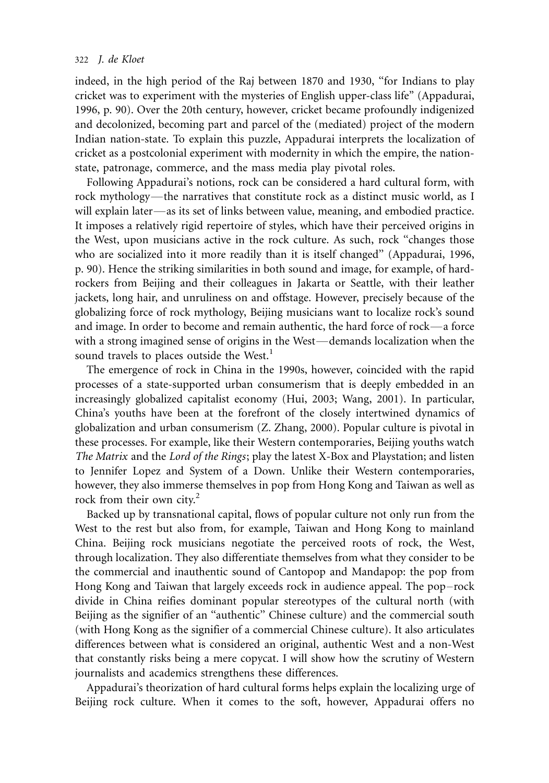indeed, in the high period of the Raj between 1870 and 1930, ''for Indians to play cricket was to experiment with the mysteries of English upper-class life'' (Appadurai, 1996, p. 90). Over the 20th century, however, cricket became profoundly indigenized and decolonized, becoming part and parcel of the (mediated) project of the modern Indian nation-state. To explain this puzzle, Appadurai interprets the localization of cricket as a postcolonial experiment with modernity in which the empire, the nationstate, patronage, commerce, and the mass media play pivotal roles.

Following Appadurai's notions, rock can be considered a hard cultural form, with rock mythology--- the narratives that constitute rock as a distinct music world, as I will explain later—as its set of links between value, meaning, and embodied practice. It imposes a relatively rigid repertoire of styles, which have their perceived origins in the West, upon musicians active in the rock culture. As such, rock ''changes those who are socialized into it more readily than it is itself changed'' (Appadurai, 1996, p. 90). Hence the striking similarities in both sound and image, for example, of hardrockers from Beijing and their colleagues in Jakarta or Seattle, with their leather jackets, long hair, and unruliness on and offstage. However, precisely because of the globalizing force of rock mythology, Beijing musicians want to localize rock's sound and image. In order to become and remain authentic, the hard force of rock—a force with a strong imagined sense of origins in the West-demands localization when the sound travels to places outside the West.<sup>1</sup>

The emergence of rock in China in the 1990s, however, coincided with the rapid processes of a state-supported urban consumerism that is deeply embedded in an increasingly globalized capitalist economy (Hui, 2003; Wang, 2001). In particular, China's youths have been at the forefront of the closely intertwined dynamics of globalization and urban consumerism (Z. Zhang, 2000). Popular culture is pivotal in these processes. For example, like their Western contemporaries, Beijing youths watch The Matrix and the Lord of the Rings; play the latest X-Box and Playstation; and listen to Jennifer Lopez and System of a Down. Unlike their Western contemporaries, however, they also immerse themselves in pop from Hong Kong and Taiwan as well as rock from their own city. $^{2}$ 

Backed up by transnational capital, flows of popular culture not only run from the West to the rest but also from, for example, Taiwan and Hong Kong to mainland China. Beijing rock musicians negotiate the perceived roots of rock, the West, through localization. They also differentiate themselves from what they consider to be the commercial and inauthentic sound of Cantopop and Mandapop: the pop from Hong Kong and Taiwan that largely exceeds rock in audience appeal. The pop-rock divide in China reifies dominant popular stereotypes of the cultural north (with Beijing as the signifier of an ''authentic'' Chinese culture) and the commercial south (with Hong Kong as the signifier of a commercial Chinese culture). It also articulates differences between what is considered an original, authentic West and a non-West that constantly risks being a mere copycat. I will show how the scrutiny of Western journalists and academics strengthens these differences.

Appadurai's theorization of hard cultural forms helps explain the localizing urge of Beijing rock culture. When it comes to the soft, however, Appadurai offers no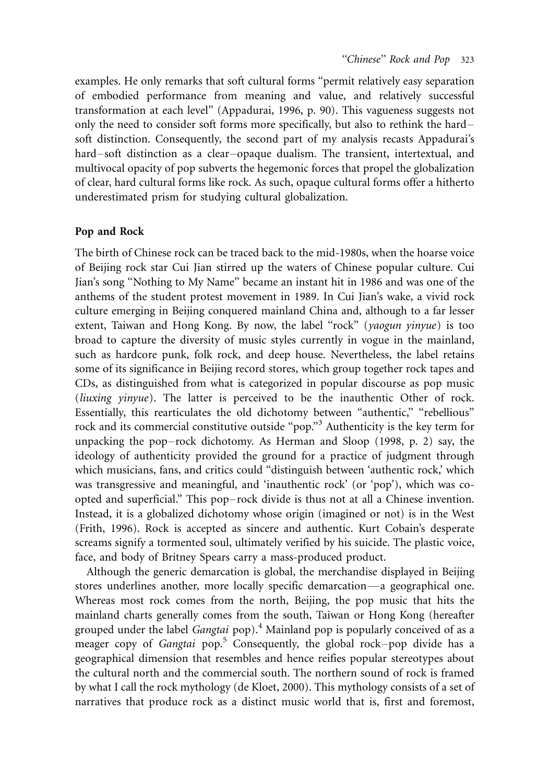examples. He only remarks that soft cultural forms ''permit relatively easy separation of embodied performance from meaning and value, and relatively successful transformation at each level'' (Appadurai, 1996, p. 90). This vagueness suggests not only the need to consider soft forms more specifically, but also to rethink the hard– soft distinction. Consequently, the second part of my analysis recasts Appadurai's hard-soft distinction as a clear-opaque dualism. The transient, intertextual, and multivocal opacity of pop subverts the hegemonic forces that propel the globalization of clear, hard cultural forms like rock. As such, opaque cultural forms offer a hitherto underestimated prism for studying cultural globalization.

## Pop and Rock

The birth of Chinese rock can be traced back to the mid-1980s, when the hoarse voice of Beijing rock star Cui Jian stirred up the waters of Chinese popular culture. Cui Jian's song ''Nothing to My Name'' became an instant hit in 1986 and was one of the anthems of the student protest movement in 1989. In Cui Jian's wake, a vivid rock culture emerging in Beijing conquered mainland China and, although to a far lesser extent, Taiwan and Hong Kong. By now, the label "rock" (yaogun yinyue) is too broad to capture the diversity of music styles currently in vogue in the mainland, such as hardcore punk, folk rock, and deep house. Nevertheless, the label retains some of its significance in Beijing record stores, which group together rock tapes and CDs, as distinguished from what is categorized in popular discourse as pop music (liuxing yinyue). The latter is perceived to be the inauthentic Other of rock. Essentially, this rearticulates the old dichotomy between "authentic," "rebellious" rock and its commercial constitutive outside ''pop.''3 Authenticity is the key term for unpacking the pop-rock dichotomy. As Herman and Sloop (1998, p. 2) say, the ideology of authenticity provided the ground for a practice of judgment through which musicians, fans, and critics could "distinguish between 'authentic rock,' which was transgressive and meaningful, and 'inauthentic rock' (or 'pop'), which was coopted and superficial." This pop-rock divide is thus not at all a Chinese invention. Instead, it is a globalized dichotomy whose origin (imagined or not) is in the West (Frith, 1996). Rock is accepted as sincere and authentic. Kurt Cobain's desperate screams signify a tormented soul, ultimately verified by his suicide. The plastic voice, face, and body of Britney Spears carry a mass-produced product.

Although the generic demarcation is global, the merchandise displayed in Beijing stores underlines another, more locally specific demarcation—a geographical one. Whereas most rock comes from the north, Beijing, the pop music that hits the mainland charts generally comes from the south, Taiwan or Hong Kong (hereafter grouped under the label *Gangtai* pop).<sup>4</sup> Mainland pop is popularly conceived of as a meager copy of *Gangtai* pop.<sup>5</sup> Consequently, the global rock-pop divide has a geographical dimension that resembles and hence reifies popular stereotypes about the cultural north and the commercial south. The northern sound of rock is framed by what I call the rock mythology (de Kloet, 2000). This mythology consists of a set of narratives that produce rock as a distinct music world that is, first and foremost,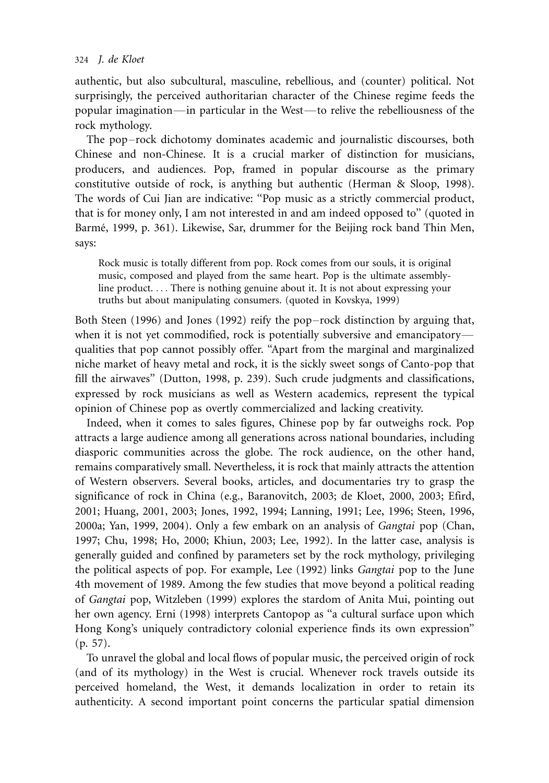authentic, but also subcultural, masculine, rebellious, and (counter) political. Not surprisingly, the perceived authoritarian character of the Chinese regime feeds the popular imagination—in particular in the West—to relive the rebelliousness of the rock mythology.

The pop-rock dichotomy dominates academic and journalistic discourses, both Chinese and non-Chinese. It is a crucial marker of distinction for musicians, producers, and audiences. Pop, framed in popular discourse as the primary constitutive outside of rock, is anything but authentic (Herman & Sloop, 1998). The words of Cui Jian are indicative: ''Pop music as a strictly commercial product, that is for money only, I am not interested in and am indeed opposed to'' (quoted in Barmé, 1999, p. 361). Likewise, Sar, drummer for the Beijing rock band Thin Men, says:

Rock music is totally different from pop. Rock comes from our souls, it is original music, composed and played from the same heart. Pop is the ultimate assemblyline product. ... There is nothing genuine about it. It is not about expressing your truths but about manipulating consumers. (quoted in Kovskya, 1999)

Both Steen  $(1996)$  and Jones  $(1992)$  reify the pop-rock distinction by arguing that, when it is not yet commodified, rock is potentially subversive and emancipatory qualities that pop cannot possibly offer. ''Apart from the marginal and marginalized niche market of heavy metal and rock, it is the sickly sweet songs of Canto-pop that fill the airwaves'' (Dutton, 1998, p. 239). Such crude judgments and classifications, expressed by rock musicians as well as Western academics, represent the typical opinion of Chinese pop as overtly commercialized and lacking creativity.

Indeed, when it comes to sales figures, Chinese pop by far outweighs rock. Pop attracts a large audience among all generations across national boundaries, including diasporic communities across the globe. The rock audience, on the other hand, remains comparatively small. Nevertheless, it is rock that mainly attracts the attention of Western observers. Several books, articles, and documentaries try to grasp the significance of rock in China (e.g., Baranovitch, 2003; de Kloet, 2000, 2003; Efird, 2001; Huang, 2001, 2003; Jones, 1992, 1994; Lanning, 1991; Lee, 1996; Steen, 1996, 2000a; Yan, 1999, 2004). Only a few embark on an analysis of Gangtai pop (Chan, 1997; Chu, 1998; Ho, 2000; Khiun, 2003; Lee, 1992). In the latter case, analysis is generally guided and confined by parameters set by the rock mythology, privileging the political aspects of pop. For example, Lee (1992) links Gangtai pop to the June 4th movement of 1989. Among the few studies that move beyond a political reading of Gangtai pop, Witzleben (1999) explores the stardom of Anita Mui, pointing out her own agency. Erni (1998) interprets Cantopop as ''a cultural surface upon which Hong Kong's uniquely contradictory colonial experience finds its own expression'' (p. 57).

To unravel the global and local flows of popular music, the perceived origin of rock (and of its mythology) in the West is crucial. Whenever rock travels outside its perceived homeland, the West, it demands localization in order to retain its authenticity. A second important point concerns the particular spatial dimension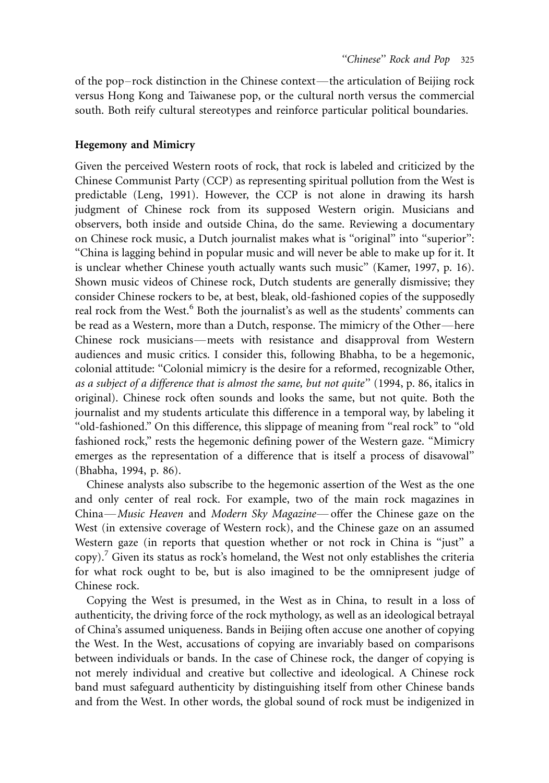of the pop-rock distinction in the Chinese context—the articulation of Beijing rock versus Hong Kong and Taiwanese pop, or the cultural north versus the commercial south. Both reify cultural stereotypes and reinforce particular political boundaries.

## Hegemony and Mimicry

Given the perceived Western roots of rock, that rock is labeled and criticized by the Chinese Communist Party (CCP) as representing spiritual pollution from the West is predictable (Leng, 1991). However, the CCP is not alone in drawing its harsh judgment of Chinese rock from its supposed Western origin. Musicians and observers, both inside and outside China, do the same. Reviewing a documentary on Chinese rock music, a Dutch journalist makes what is "original" into "superior": ''China is lagging behind in popular music and will never be able to make up for it. It is unclear whether Chinese youth actually wants such music'' (Kamer, 1997, p. 16). Shown music videos of Chinese rock, Dutch students are generally dismissive; they consider Chinese rockers to be, at best, bleak, old-fashioned copies of the supposedly real rock from the West.<sup>6</sup> Both the journalist's as well as the students' comments can be read as a Western, more than a Dutch, response. The mimicry of the Other-here Chinese rock musicians—meets with resistance and disapproval from Western audiences and music critics. I consider this, following Bhabha, to be a hegemonic, colonial attitude: ''Colonial mimicry is the desire for a reformed, recognizable Other, as a subject of a difference that is almost the same, but not quite'' (1994, p. 86, italics in original). Chinese rock often sounds and looks the same, but not quite. Both the journalist and my students articulate this difference in a temporal way, by labeling it ''old-fashioned.'' On this difference, this slippage of meaning from ''real rock'' to ''old fashioned rock,'' rests the hegemonic defining power of the Western gaze. ''Mimicry emerges as the representation of a difference that is itself a process of disavowal'' (Bhabha, 1994, p. 86).

Chinese analysts also subscribe to the hegemonic assertion of the West as the one and only center of real rock. For example, two of the main rock magazines in China-*Music Heaven* and Modern Sky Magazine-offer the Chinese gaze on the West (in extensive coverage of Western rock), and the Chinese gaze on an assumed Western gaze (in reports that question whether or not rock in China is "just" a  $\text{copy})$ .<sup>7</sup> Given its status as rock's homeland, the West not only establishes the criteria for what rock ought to be, but is also imagined to be the omnipresent judge of Chinese rock.

Copying the West is presumed, in the West as in China, to result in a loss of authenticity, the driving force of the rock mythology, as well as an ideological betrayal of China's assumed uniqueness. Bands in Beijing often accuse one another of copying the West. In the West, accusations of copying are invariably based on comparisons between individuals or bands. In the case of Chinese rock, the danger of copying is not merely individual and creative but collective and ideological. A Chinese rock band must safeguard authenticity by distinguishing itself from other Chinese bands and from the West. In other words, the global sound of rock must be indigenized in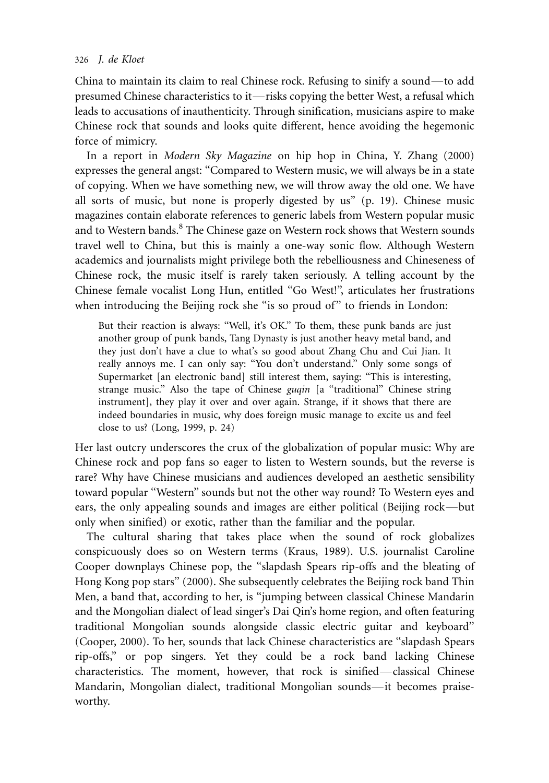China to maintain its claim to real Chinese rock. Refusing to sinify a sound—to add presumed Chinese characteristics to it—risks copying the better West, a refusal which leads to accusations of inauthenticity. Through sinification, musicians aspire to make Chinese rock that sounds and looks quite different, hence avoiding the hegemonic force of mimicry.

In a report in Modern Sky Magazine on hip hop in China, Y. Zhang (2000) expresses the general angst: ''Compared to Western music, we will always be in a state of copying. When we have something new, we will throw away the old one. We have all sorts of music, but none is properly digested by us'' (p. 19). Chinese music magazines contain elaborate references to generic labels from Western popular music and to Western bands.<sup>8</sup> The Chinese gaze on Western rock shows that Western sounds travel well to China, but this is mainly a one-way sonic flow. Although Western academics and journalists might privilege both the rebelliousness and Chineseness of Chinese rock, the music itself is rarely taken seriously. A telling account by the Chinese female vocalist Long Hun, entitled ''Go West!'', articulates her frustrations when introducing the Beijing rock she "is so proud of" to friends in London:

But their reaction is always: ''Well, it's OK.'' To them, these punk bands are just another group of punk bands, Tang Dynasty is just another heavy metal band, and they just don't have a clue to what's so good about Zhang Chu and Cui Jian. It really annoys me. I can only say: ''You don't understand.'' Only some songs of Supermarket [an electronic band] still interest them, saying: ''This is interesting, strange music." Also the tape of Chinese *guqin* [a "traditional" Chinese string instrument], they play it over and over again. Strange, if it shows that there are indeed boundaries in music, why does foreign music manage to excite us and feel close to us? (Long, 1999, p. 24)

Her last outcry underscores the crux of the globalization of popular music: Why are Chinese rock and pop fans so eager to listen to Western sounds, but the reverse is rare? Why have Chinese musicians and audiences developed an aesthetic sensibility toward popular ''Western'' sounds but not the other way round? To Western eyes and ears, the only appealing sounds and images are either political (Beijing rock—but only when sinified) or exotic, rather than the familiar and the popular.

The cultural sharing that takes place when the sound of rock globalizes conspicuously does so on Western terms (Kraus, 1989). U.S. journalist Caroline Cooper downplays Chinese pop, the ''slapdash Spears rip-offs and the bleating of Hong Kong pop stars'' (2000). She subsequently celebrates the Beijing rock band Thin Men, a band that, according to her, is ''jumping between classical Chinese Mandarin and the Mongolian dialect of lead singer's Dai Qin's home region, and often featuring traditional Mongolian sounds alongside classic electric guitar and keyboard'' (Cooper, 2000). To her, sounds that lack Chinese characteristics are ''slapdash Spears rip-offs,'' or pop singers. Yet they could be a rock band lacking Chinese characteristics. The moment, however, that rock is sinified-classical Chinese Mandarin, Mongolian dialect, traditional Mongolian sounds-it becomes praiseworthy.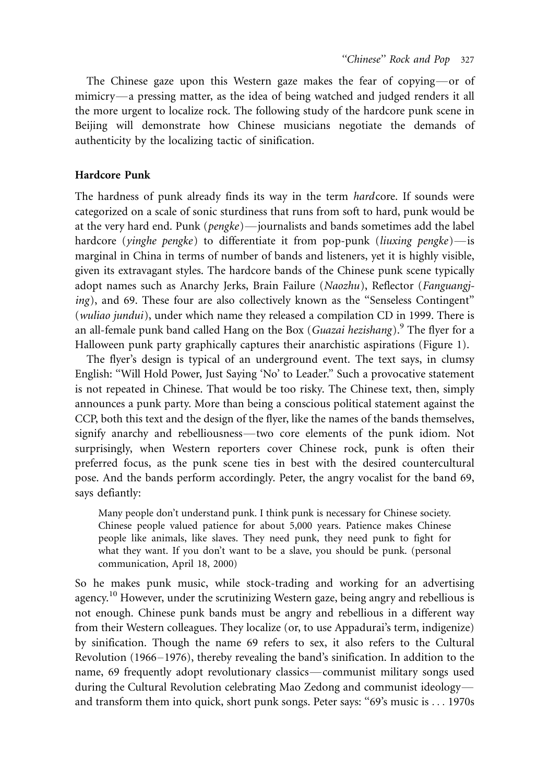The Chinese gaze upon this Western gaze makes the fear of copying—or of mimicry—a pressing matter, as the idea of being watched and judged renders it all the more urgent to localize rock. The following study of the hardcore punk scene in Beijing will demonstrate how Chinese musicians negotiate the demands of authenticity by the localizing tactic of sinification.

# Hardcore Punk

The hardness of punk already finds its way in the term hardcore. If sounds were categorized on a scale of sonic sturdiness that runs from soft to hard, punk would be at the very hard end. Punk ( $pengke$ )—journalists and bands sometimes add the label hardcore (yinghe pengke) to differentiate it from pop-punk (liuxing pengke)—is marginal in China in terms of number of bands and listeners, yet it is highly visible, given its extravagant styles. The hardcore bands of the Chinese punk scene typically adopt names such as Anarchy Jerks, Brain Failure (Naozhu), Reflector (Fanguangjing), and 69. These four are also collectively known as the "Senseless Contingent" (wuliao jundui), under which name they released a compilation CD in 1999. There is an all-female punk band called Hang on the Box (*Guazai hezishang*).<sup>9</sup> The flyer for a Halloween punk party graphically captures their anarchistic aspirations (Figure 1).

The flyer's design is typical of an underground event. The text says, in clumsy English: ''Will Hold Power, Just Saying 'No' to Leader.'' Such a provocative statement is not repeated in Chinese. That would be too risky. The Chinese text, then, simply announces a punk party. More than being a conscious political statement against the CCP, both this text and the design of the flyer, like the names of the bands themselves, signify anarchy and rebelliousness-two core elements of the punk idiom. Not surprisingly, when Western reporters cover Chinese rock, punk is often their preferred focus, as the punk scene ties in best with the desired countercultural pose. And the bands perform accordingly. Peter, the angry vocalist for the band 69, says defiantly:

Many people don't understand punk. I think punk is necessary for Chinese society. Chinese people valued patience for about 5,000 years. Patience makes Chinese people like animals, like slaves. They need punk, they need punk to fight for what they want. If you don't want to be a slave, you should be punk. (personal communication, April 18, 2000)

So he makes punk music, while stock-trading and working for an advertising agency.<sup>10</sup> However, under the scrutinizing Western gaze, being angry and rebellious is not enough. Chinese punk bands must be angry and rebellious in a different way from their Western colleagues. They localize (or, to use Appadurai's term, indigenize) by sinification. Though the name 69 refers to sex, it also refers to the Cultural Revolution (1966-1976), thereby revealing the band's sinification. In addition to the name, 69 frequently adopt revolutionary classics-communist military songs used during the Cultural Revolution celebrating Mao Zedong and communist ideologyand transform them into quick, short punk songs. Peter says: "69's music is . . . 1970s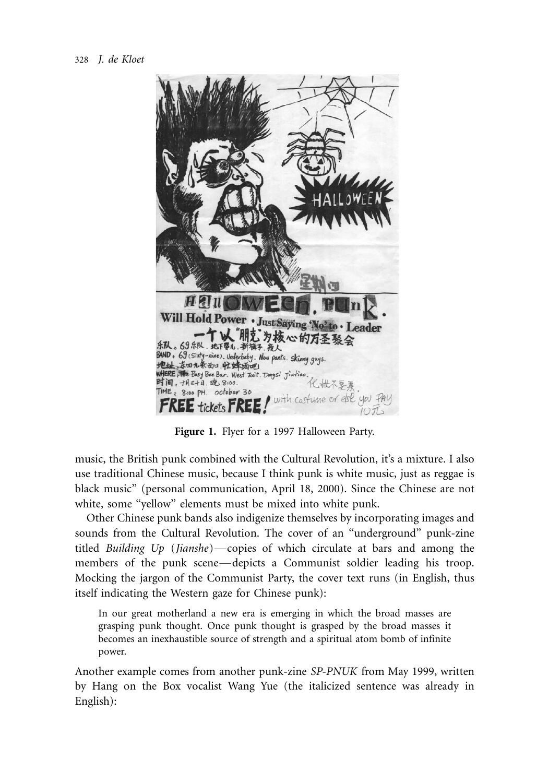

Figure 1. Flyer for a 1997 Halloween Party.

music, the British punk combined with the Cultural Revolution, it's a mixture. I also use traditional Chinese music, because I think punk is white music, just as reggae is black music'' (personal communication, April 18, 2000). Since the Chinese are not white, some "yellow" elements must be mixed into white punk.

Other Chinese punk bands also indigenize themselves by incorporating images and sounds from the Cultural Revolution. The cover of an ''underground'' punk-zine titled Building  $Up$  (*Jianshe*)—copies of which circulate at bars and among the members of the punk scene—depicts a Communist soldier leading his troop. Mocking the jargon of the Communist Party, the cover text runs (in English, thus itself indicating the Western gaze for Chinese punk):

In our great motherland a new era is emerging in which the broad masses are grasping punk thought. Once punk thought is grasped by the broad masses it becomes an inexhaustible source of strength and a spiritual atom bomb of infinite power.

Another example comes from another punk-zine SP-PNUK from May 1999, written by Hang on the Box vocalist Wang Yue (the italicized sentence was already in English):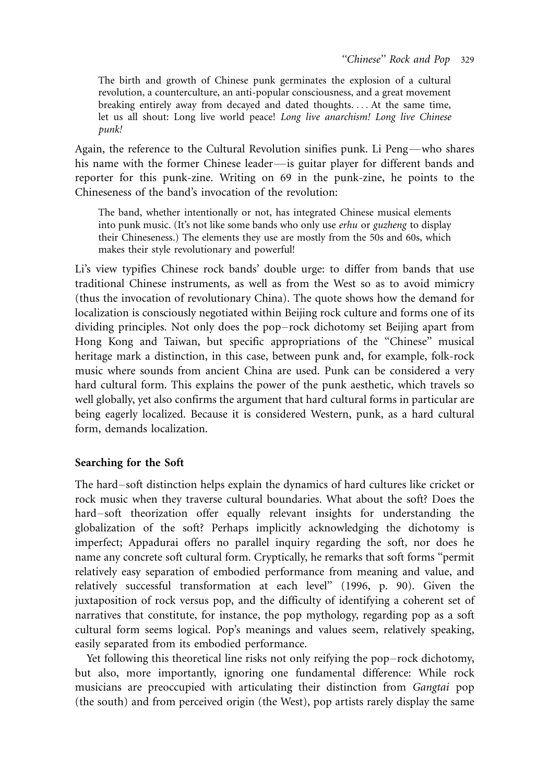The birth and growth of Chinese punk germinates the explosion of a cultural revolution, a counterculture, an anti-popular consciousness, and a great movement breaking entirely away from decayed and dated thoughts. ... At the same time, let us all shout: Long live world peace! Long live anarchism! Long live Chinese punk!

Again, the reference to the Cultural Revolution sinifies punk. Li Peng—who shares his name with the former Chinese leader-is guitar player for different bands and reporter for this punk-zine. Writing on 69 in the punk-zine, he points to the Chineseness of the band's invocation of the revolution:

The band, whether intentionally or not, has integrated Chinese musical elements into punk music. (It's not like some bands who only use erhu or guzheng to display their Chineseness.) The elements they use are mostly from the 50s and 60s, which makes their style revolutionary and powerful!

Li's view typifies Chinese rock bands' double urge: to differ from bands that use traditional Chinese instruments, as well as from the West so as to avoid mimicry (thus the invocation of revolutionary China). The quote shows how the demand for localization is consciously negotiated within Beijing rock culture and forms one of its dividing principles. Not only does the pop-rock dichotomy set Beijing apart from Hong Kong and Taiwan, but specific appropriations of the "Chinese" musical heritage mark a distinction, in this case, between punk and, for example, folk-rock music where sounds from ancient China are used. Punk can be considered a very hard cultural form. This explains the power of the punk aesthetic, which travels so well globally, yet also confirms the argument that hard cultural forms in particular are being eagerly localized. Because it is considered Western, punk, as a hard cultural form, demands localization.

## Searching for the Soft

The hard-soft distinction helps explain the dynamics of hard cultures like cricket or rock music when they traverse cultural boundaries. What about the soft? Does the hard-soft theorization offer equally relevant insights for understanding the globalization of the soft? Perhaps implicitly acknowledging the dichotomy is imperfect; Appadurai offers no parallel inquiry regarding the soft, nor does he name any concrete soft cultural form. Cryptically, he remarks that soft forms ''permit relatively easy separation of embodied performance from meaning and value, and relatively successful transformation at each level'' (1996, p. 90). Given the juxtaposition of rock versus pop, and the difficulty of identifying a coherent set of narratives that constitute, for instance, the pop mythology, regarding pop as a soft cultural form seems logical. Pop's meanings and values seem, relatively speaking, easily separated from its embodied performance.

Yet following this theoretical line risks not only reifying the pop-rock dichotomy, but also, more importantly, ignoring one fundamental difference: While rock musicians are preoccupied with articulating their distinction from Gangtai pop (the south) and from perceived origin (the West), pop artists rarely display the same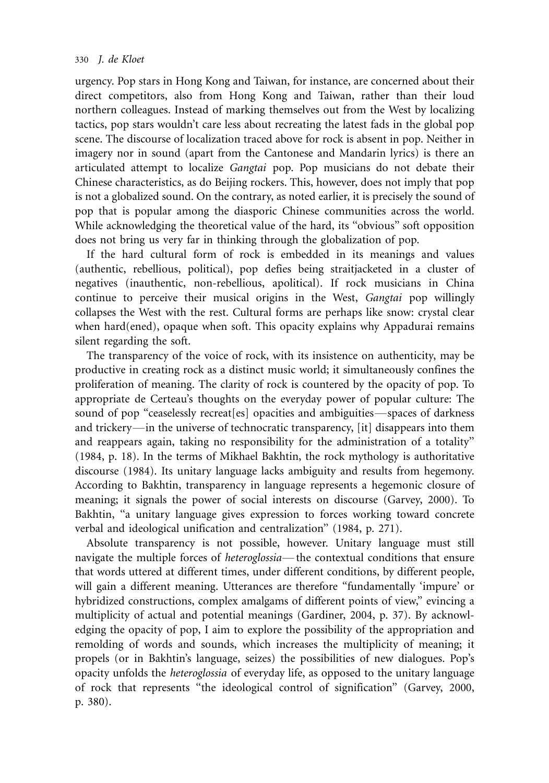urgency. Pop stars in Hong Kong and Taiwan, for instance, are concerned about their direct competitors, also from Hong Kong and Taiwan, rather than their loud northern colleagues. Instead of marking themselves out from the West by localizing tactics, pop stars wouldn't care less about recreating the latest fads in the global pop scene. The discourse of localization traced above for rock is absent in pop. Neither in imagery nor in sound (apart from the Cantonese and Mandarin lyrics) is there an articulated attempt to localize Gangtai pop. Pop musicians do not debate their Chinese characteristics, as do Beijing rockers. This, however, does not imply that pop is not a globalized sound. On the contrary, as noted earlier, it is precisely the sound of pop that is popular among the diasporic Chinese communities across the world. While acknowledging the theoretical value of the hard, its ''obvious'' soft opposition does not bring us very far in thinking through the globalization of pop.

If the hard cultural form of rock is embedded in its meanings and values (authentic, rebellious, political), pop defies being straitjacketed in a cluster of negatives (inauthentic, non-rebellious, apolitical). If rock musicians in China continue to perceive their musical origins in the West, Gangtai pop willingly collapses the West with the rest. Cultural forms are perhaps like snow: crystal clear when hard(ened), opaque when soft. This opacity explains why Appadurai remains silent regarding the soft.

The transparency of the voice of rock, with its insistence on authenticity, may be productive in creating rock as a distinct music world; it simultaneously confines the proliferation of meaning. The clarity of rock is countered by the opacity of pop. To appropriate de Certeau's thoughts on the everyday power of popular culture: The sound of pop "ceaselessly recreat $[es]$  opacities and ambiguities—spaces of darkness and trickery—in the universe of technocratic transparency, [it] disappears into them and reappears again, taking no responsibility for the administration of a totality'' (1984, p. 18). In the terms of Mikhael Bakhtin, the rock mythology is authoritative discourse (1984). Its unitary language lacks ambiguity and results from hegemony. According to Bakhtin, transparency in language represents a hegemonic closure of meaning; it signals the power of social interests on discourse (Garvey, 2000). To Bakhtin, ''a unitary language gives expression to forces working toward concrete verbal and ideological unification and centralization'' (1984, p. 271).

Absolute transparency is not possible, however. Unitary language must still navigate the multiple forces of *heteroglossia*— the contextual conditions that ensure that words uttered at different times, under different conditions, by different people, will gain a different meaning. Utterances are therefore ''fundamentally 'impure' or hybridized constructions, complex amalgams of different points of view,'' evincing a multiplicity of actual and potential meanings (Gardiner, 2004, p. 37). By acknowledging the opacity of pop, I aim to explore the possibility of the appropriation and remolding of words and sounds, which increases the multiplicity of meaning; it propels (or in Bakhtin's language, seizes) the possibilities of new dialogues. Pop's opacity unfolds the heteroglossia of everyday life, as opposed to the unitary language of rock that represents ''the ideological control of signification'' (Garvey, 2000, p. 380).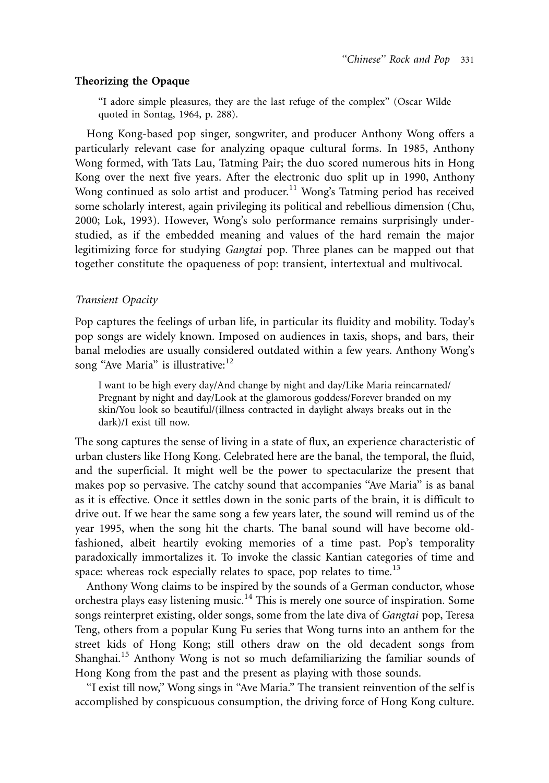#### Theorizing the Opaque

''I adore simple pleasures, they are the last refuge of the complex'' (Oscar Wilde quoted in Sontag, 1964, p. 288).

Hong Kong-based pop singer, songwriter, and producer Anthony Wong offers a particularly relevant case for analyzing opaque cultural forms. In 1985, Anthony Wong formed, with Tats Lau, Tatming Pair; the duo scored numerous hits in Hong Kong over the next five years. After the electronic duo split up in 1990, Anthony Wong continued as solo artist and producer.<sup>11</sup> Wong's Tatming period has received some scholarly interest, again privileging its political and rebellious dimension (Chu, 2000; Lok, 1993). However, Wong's solo performance remains surprisingly understudied, as if the embedded meaning and values of the hard remain the major legitimizing force for studying Gangtai pop. Three planes can be mapped out that together constitute the opaqueness of pop: transient, intertextual and multivocal.

#### Transient Opacity

Pop captures the feelings of urban life, in particular its fluidity and mobility. Today's pop songs are widely known. Imposed on audiences in taxis, shops, and bars, their banal melodies are usually considered outdated within a few years. Anthony Wong's song "Ave Maria" is illustrative: $12$ 

I want to be high every day/And change by night and day/Like Maria reincarnated/ Pregnant by night and day/Look at the glamorous goddess/Forever branded on my skin/You look so beautiful/(illness contracted in daylight always breaks out in the dark)/I exist till now.

The song captures the sense of living in a state of flux, an experience characteristic of urban clusters like Hong Kong. Celebrated here are the banal, the temporal, the fluid, and the superficial. It might well be the power to spectacularize the present that makes pop so pervasive. The catchy sound that accompanies "Ave Maria" is as banal as it is effective. Once it settles down in the sonic parts of the brain, it is difficult to drive out. If we hear the same song a few years later, the sound will remind us of the year 1995, when the song hit the charts. The banal sound will have become oldfashioned, albeit heartily evoking memories of a time past. Pop's temporality paradoxically immortalizes it. To invoke the classic Kantian categories of time and space: whereas rock especially relates to space, pop relates to time.<sup>13</sup>

Anthony Wong claims to be inspired by the sounds of a German conductor, whose orchestra plays easy listening music.<sup>14</sup> This is merely one source of inspiration. Some songs reinterpret existing, older songs, some from the late diva of Gangtai pop, Teresa Teng, others from a popular Kung Fu series that Wong turns into an anthem for the street kids of Hong Kong; still others draw on the old decadent songs from Shanghai.<sup>15</sup> Anthony Wong is not so much defamiliarizing the familiar sounds of Hong Kong from the past and the present as playing with those sounds.

"I exist till now," Wong sings in "Ave Maria." The transient reinvention of the self is accomplished by conspicuous consumption, the driving force of Hong Kong culture.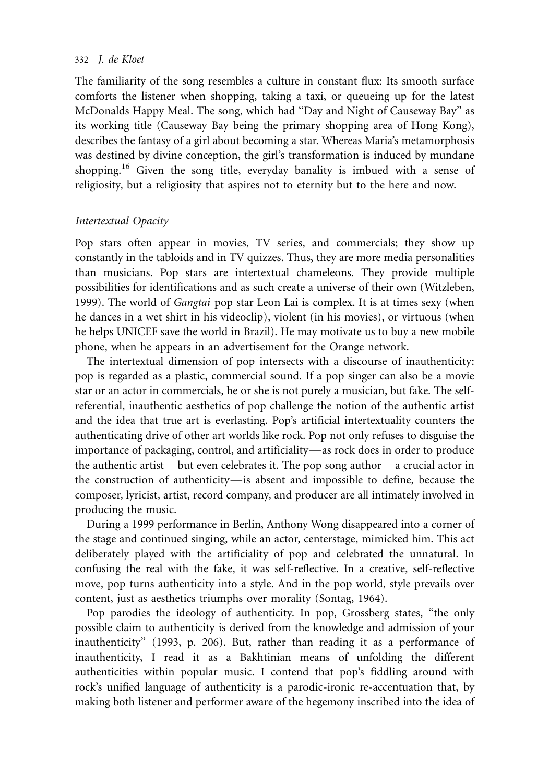The familiarity of the song resembles a culture in constant flux: Its smooth surface comforts the listener when shopping, taking a taxi, or queueing up for the latest McDonalds Happy Meal. The song, which had ''Day and Night of Causeway Bay'' as its working title (Causeway Bay being the primary shopping area of Hong Kong), describes the fantasy of a girl about becoming a star. Whereas Maria's metamorphosis was destined by divine conception, the girl's transformation is induced by mundane shopping.<sup>16</sup> Given the song title, everyday banality is imbued with a sense of religiosity, but a religiosity that aspires not to eternity but to the here and now.

#### Intertextual Opacity

Pop stars often appear in movies, TV series, and commercials; they show up constantly in the tabloids and in TV quizzes. Thus, they are more media personalities than musicians. Pop stars are intertextual chameleons. They provide multiple possibilities for identifications and as such create a universe of their own (Witzleben, 1999). The world of Gangtai pop star Leon Lai is complex. It is at times sexy (when he dances in a wet shirt in his videoclip), violent (in his movies), or virtuous (when he helps UNICEF save the world in Brazil). He may motivate us to buy a new mobile phone, when he appears in an advertisement for the Orange network.

The intertextual dimension of pop intersects with a discourse of inauthenticity: pop is regarded as a plastic, commercial sound. If a pop singer can also be a movie star or an actor in commercials, he or she is not purely a musician, but fake. The selfreferential, inauthentic aesthetics of pop challenge the notion of the authentic artist and the idea that true art is everlasting. Pop's artificial intertextuality counters the authenticating drive of other art worlds like rock. Pop not only refuses to disguise the importance of packaging, control, and artificiality-as rock does in order to produce the authentic artist—but even celebrates it. The pop song author—a crucial actor in the construction of authenticity-is absent and impossible to define, because the composer, lyricist, artist, record company, and producer are all intimately involved in producing the music.

During a 1999 performance in Berlin, Anthony Wong disappeared into a corner of the stage and continued singing, while an actor, centerstage, mimicked him. This act deliberately played with the artificiality of pop and celebrated the unnatural. In confusing the real with the fake, it was self-reflective. In a creative, self-reflective move, pop turns authenticity into a style. And in the pop world, style prevails over content, just as aesthetics triumphs over morality (Sontag, 1964).

Pop parodies the ideology of authenticity. In pop, Grossberg states, ''the only possible claim to authenticity is derived from the knowledge and admission of your inauthenticity'' (1993, p. 206). But, rather than reading it as a performance of inauthenticity, I read it as a Bakhtinian means of unfolding the different authenticities within popular music. I contend that pop's fiddling around with rock's unified language of authenticity is a parodic-ironic re-accentuation that, by making both listener and performer aware of the hegemony inscribed into the idea of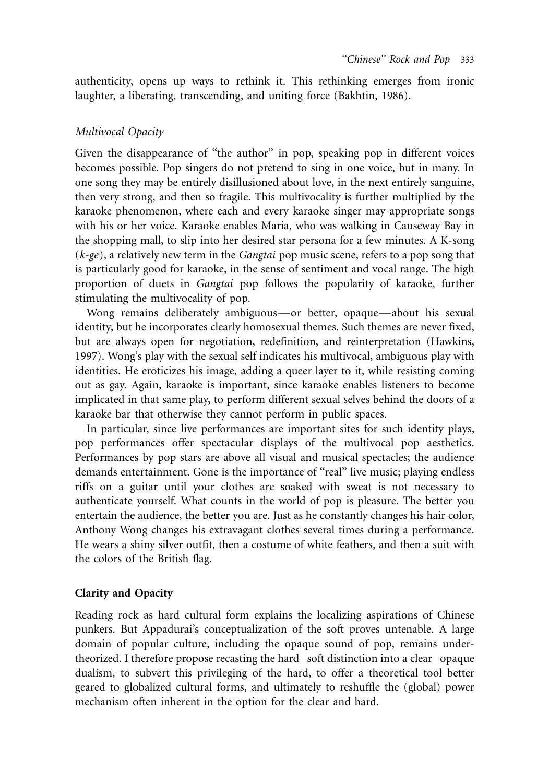authenticity, opens up ways to rethink it. This rethinking emerges from ironic laughter, a liberating, transcending, and uniting force (Bakhtin, 1986).

# Multivocal Opacity

Given the disappearance of ''the author'' in pop, speaking pop in different voices becomes possible. Pop singers do not pretend to sing in one voice, but in many. In one song they may be entirely disillusioned about love, in the next entirely sanguine, then very strong, and then so fragile. This multivocality is further multiplied by the karaoke phenomenon, where each and every karaoke singer may appropriate songs with his or her voice. Karaoke enables Maria, who was walking in Causeway Bay in the shopping mall, to slip into her desired star persona for a few minutes. A K-song  $(k-ge)$ , a relatively new term in the *Gangtai* pop music scene, refers to a pop song that is particularly good for karaoke, in the sense of sentiment and vocal range. The high proportion of duets in Gangtai pop follows the popularity of karaoke, further stimulating the multivocality of pop.

Wong remains deliberately ambiguous—or better, opaque—about his sexual identity, but he incorporates clearly homosexual themes. Such themes are never fixed, but are always open for negotiation, redefinition, and reinterpretation (Hawkins, 1997). Wong's play with the sexual self indicates his multivocal, ambiguous play with identities. He eroticizes his image, adding a queer layer to it, while resisting coming out as gay. Again, karaoke is important, since karaoke enables listeners to become implicated in that same play, to perform different sexual selves behind the doors of a karaoke bar that otherwise they cannot perform in public spaces.

In particular, since live performances are important sites for such identity plays, pop performances offer spectacular displays of the multivocal pop aesthetics. Performances by pop stars are above all visual and musical spectacles; the audience demands entertainment. Gone is the importance of "real" live music; playing endless riffs on a guitar until your clothes are soaked with sweat is not necessary to authenticate yourself. What counts in the world of pop is pleasure. The better you entertain the audience, the better you are. Just as he constantly changes his hair color, Anthony Wong changes his extravagant clothes several times during a performance. He wears a shiny silver outfit, then a costume of white feathers, and then a suit with the colors of the British flag.

## Clarity and Opacity

Reading rock as hard cultural form explains the localizing aspirations of Chinese punkers. But Appadurai's conceptualization of the soft proves untenable. A large domain of popular culture, including the opaque sound of pop, remains undertheorized. I therefore propose recasting the hard-soft distinction into a clear-opaque dualism, to subvert this privileging of the hard, to offer a theoretical tool better geared to globalized cultural forms, and ultimately to reshuffle the (global) power mechanism often inherent in the option for the clear and hard.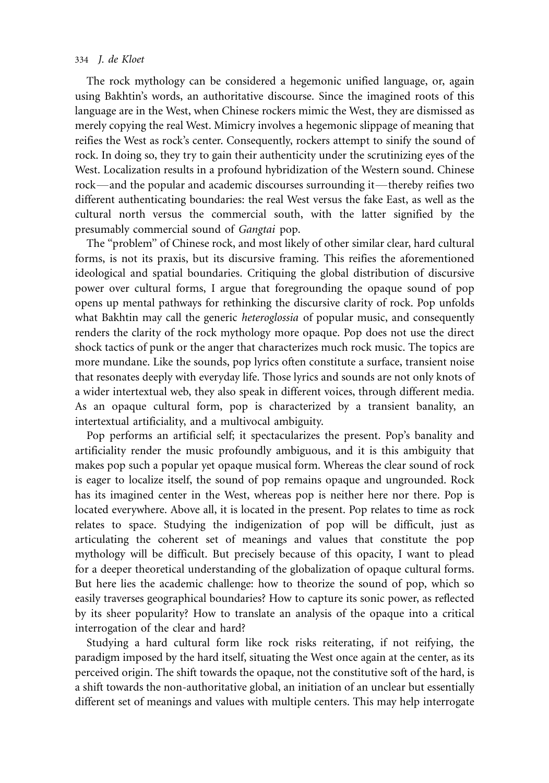The rock mythology can be considered a hegemonic unified language, or, again using Bakhtin's words, an authoritative discourse. Since the imagined roots of this language are in the West, when Chinese rockers mimic the West, they are dismissed as merely copying the real West. Mimicry involves a hegemonic slippage of meaning that reifies the West as rock's center. Consequently, rockers attempt to sinify the sound of rock. In doing so, they try to gain their authenticity under the scrutinizing eyes of the West. Localization results in a profound hybridization of the Western sound. Chinese rock—and the popular and academic discourses surrounding it—thereby reifies two different authenticating boundaries: the real West versus the fake East, as well as the cultural north versus the commercial south, with the latter signified by the presumably commercial sound of Gangtai pop.

The ''problem'' of Chinese rock, and most likely of other similar clear, hard cultural forms, is not its praxis, but its discursive framing. This reifies the aforementioned ideological and spatial boundaries. Critiquing the global distribution of discursive power over cultural forms, I argue that foregrounding the opaque sound of pop opens up mental pathways for rethinking the discursive clarity of rock. Pop unfolds what Bakhtin may call the generic *heteroglossia* of popular music, and consequently renders the clarity of the rock mythology more opaque. Pop does not use the direct shock tactics of punk or the anger that characterizes much rock music. The topics are more mundane. Like the sounds, pop lyrics often constitute a surface, transient noise that resonates deeply with everyday life. Those lyrics and sounds are not only knots of a wider intertextual web, they also speak in different voices, through different media. As an opaque cultural form, pop is characterized by a transient banality, an intertextual artificiality, and a multivocal ambiguity.

Pop performs an artificial self; it spectacularizes the present. Pop's banality and artificiality render the music profoundly ambiguous, and it is this ambiguity that makes pop such a popular yet opaque musical form. Whereas the clear sound of rock is eager to localize itself, the sound of pop remains opaque and ungrounded. Rock has its imagined center in the West, whereas pop is neither here nor there. Pop is located everywhere. Above all, it is located in the present. Pop relates to time as rock relates to space. Studying the indigenization of pop will be difficult, just as articulating the coherent set of meanings and values that constitute the pop mythology will be difficult. But precisely because of this opacity, I want to plead for a deeper theoretical understanding of the globalization of opaque cultural forms. But here lies the academic challenge: how to theorize the sound of pop, which so easily traverses geographical boundaries? How to capture its sonic power, as reflected by its sheer popularity? How to translate an analysis of the opaque into a critical interrogation of the clear and hard?

Studying a hard cultural form like rock risks reiterating, if not reifying, the paradigm imposed by the hard itself, situating the West once again at the center, as its perceived origin. The shift towards the opaque, not the constitutive soft of the hard, is a shift towards the non-authoritative global, an initiation of an unclear but essentially different set of meanings and values with multiple centers. This may help interrogate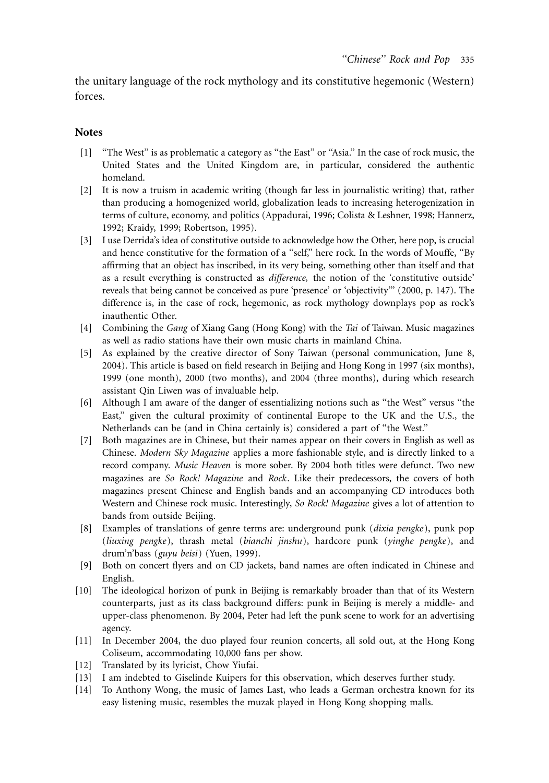the unitary language of the rock mythology and its constitutive hegemonic (Western) forces.

## **Notes**

- [1] ''The West'' is as problematic a category as ''the East'' or ''Asia.'' In the case of rock music, the United States and the United Kingdom are, in particular, considered the authentic homeland.
- [2] It is now a truism in academic writing (though far less in journalistic writing) that, rather than producing a homogenized world, globalization leads to increasing heterogenization in terms of culture, economy, and politics (Appadurai, 1996; Colista & Leshner, 1998; Hannerz, 1992; Kraidy, 1999; Robertson, 1995).
- [3] I use Derrida's idea of constitutive outside to acknowledge how the Other, here pop, is crucial and hence constitutive for the formation of a "self," here rock. In the words of Mouffe, "By affirming that an object has inscribed, in its very being, something other than itself and that as a result everything is constructed as difference, the notion of the 'constitutive outside' reveals that being cannot be conceived as pure 'presence' or 'objectivity''' (2000, p. 147). The difference is, in the case of rock, hegemonic, as rock mythology downplays pop as rock's inauthentic Other.
- [4] Combining the Gang of Xiang Gang (Hong Kong) with the Tai of Taiwan. Music magazines as well as radio stations have their own music charts in mainland China.
- [5] As explained by the creative director of Sony Taiwan (personal communication, June 8, 2004). This article is based on field research in Beijing and Hong Kong in 1997 (six months), 1999 (one month), 2000 (two months), and 2004 (three months), during which research assistant Qin Liwen was of invaluable help.
- [6] Although I am aware of the danger of essentializing notions such as ''the West'' versus ''the East," given the cultural proximity of continental Europe to the UK and the U.S., the Netherlands can be (and in China certainly is) considered a part of ''the West.''
- [7] Both magazines are in Chinese, but their names appear on their covers in English as well as Chinese. Modern Sky Magazine applies a more fashionable style, and is directly linked to a record company. Music Heaven is more sober. By 2004 both titles were defunct. Two new magazines are So Rock! Magazine and Rock . Like their predecessors, the covers of both magazines present Chinese and English bands and an accompanying CD introduces both Western and Chinese rock music. Interestingly, So Rock! Magazine gives a lot of attention to bands from outside Beijing.
- [8] Examples of translations of genre terms are: underground punk (dixia pengke), punk pop (liuxing pengke), thrash metal (bianchi jinshu), hardcore punk (yinghe pengke), and drum'n'bass (guyu beisi) (Yuen, 1999).
- [9] Both on concert flyers and on CD jackets, band names are often indicated in Chinese and English.
- [10] The ideological horizon of punk in Beijing is remarkably broader than that of its Western counterparts, just as its class background differs: punk in Beijing is merely a middle- and upper-class phenomenon. By 2004, Peter had left the punk scene to work for an advertising agency.
- [11] In December 2004, the duo played four reunion concerts, all sold out, at the Hong Kong Coliseum, accommodating 10,000 fans per show.
- [12] Translated by its lyricist, Chow Yiufai.
- [13] I am indebted to Giselinde Kuipers for this observation, which deserves further study.
- [14] To Anthony Wong, the music of James Last, who leads a German orchestra known for its easy listening music, resembles the muzak played in Hong Kong shopping malls.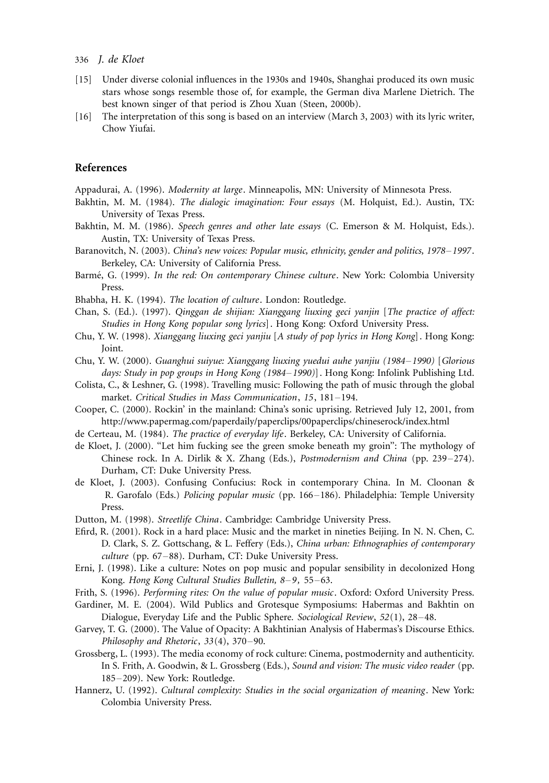- 336 J. de Kloet
- [15] Under diverse colonial influences in the 1930s and 1940s, Shanghai produced its own music stars whose songs resemble those of, for example, the German diva Marlene Dietrich. The best known singer of that period is Zhou Xuan (Steen, 2000b).
- [16] The interpretation of this song is based on an interview (March 3, 2003) with its lyric writer, Chow Yiufai.

#### References

Appadurai, A. (1996). Modernity at large. Minneapolis, MN: University of Minnesota Press.

- Bakhtin, M. M. (1984). The dialogic imagination: Four essays (M. Holquist, Ed.). Austin, TX: University of Texas Press.
- Bakhtin, M. M. (1986). Speech genres and other late essays (C. Emerson & M. Holquist, Eds.). Austin, TX: University of Texas Press.
- Baranovitch, N. (2003). China's new voices: Popular music, ethnicity, gender and politics, 1978-1997. Berkeley, CA: University of California Press.
- Barmé, G. (1999). In the red: On contemporary Chinese culture. New York: Colombia University Press.
- Bhabha, H. K. (1994). The location of culture. London: Routledge.
- Chan, S. (Ed.). (1997). Qinggan de shijian: Xianggang liuxing geci yanjin [The practice of affect: Studies in Hong Kong popular song lyrics]. Hong Kong: Oxford University Press.
- Chu, Y. W. (1998). Xianggang liuxing geci yanjiu [A study of pop lyrics in Hong Kong]. Hong Kong: Joint.
- Chu, Y. W. (2000). Guanghui suiyue: Xianggang liuxing yuedui auhe yanjiu (1984–1990) [Glorious days: Study in pop groups in Hong Kong (1984–1990)]. Hong Kong: Infolink Publishing Ltd.
- Colista, C., & Leshner, G. (1998). Travelling music: Following the path of music through the global market. Critical Studies in Mass Communication, 15, 181-194.
- Cooper, C. (2000). Rockin' in the mainland: China's sonic uprising. Retrieved July 12, 2001, from http://www.papermag.com/paperdaily/paperclips/00paperclips/chineserock/index.html
- de Certeau, M. (1984). The practice of everyday life. Berkeley, CA: University of California.
- de Kloet, J. (2000). ''Let him fucking see the green smoke beneath my groin'': The mythology of Chinese rock. In A. Dirlik & X. Zhang (Eds.), *Postmodernism and China* (pp. 239–274). Durham, CT: Duke University Press.
- de Kloet, J. (2003). Confusing Confucius: Rock in contemporary China. In M. Cloonan & R. Garofalo (Eds.) Policing popular music (pp. 166-186). Philadelphia: Temple University Press.
- Dutton, M. (1998). Streetlife China. Cambridge: Cambridge University Press.
- Efird, R. (2001). Rock in a hard place: Music and the market in nineties Beijing. In N. N. Chen, C. D. Clark, S. Z. Gottschang, & L. Feffery (Eds.), China urban: Ethnographies of contemporary culture (pp. 67-88). Durham, CT: Duke University Press.
- Erni, J. (1998). Like a culture: Notes on pop music and popular sensibility in decolonized Hong Kong. Hong Kong Cultural Studies Bulletin, 8-9, 55-63.
- Frith, S. (1996). Performing rites: On the value of popular music. Oxford: Oxford University Press.
- Gardiner, M. E. (2004). Wild Publics and Grotesque Symposiums: Habermas and Bakhtin on Dialogue, Everyday Life and the Public Sphere. Sociological Review, 52(1), 28-48.
- Garvey, T. G. (2000). The Value of Opacity: A Bakhtinian Analysis of Habermas's Discourse Ethics. Philosophy and Rhetoric,  $33(4)$ ,  $370-90$ .
- Grossberg, L. (1993). The media economy of rock culture: Cinema, postmodernity and authenticity. In S. Frith, A. Goodwin, & L. Grossberg (Eds.), Sound and vision: The music video reader (pp. 185-209). New York: Routledge.
- Hannerz, U. (1992). Cultural complexity: Studies in the social organization of meaning. New York: Colombia University Press.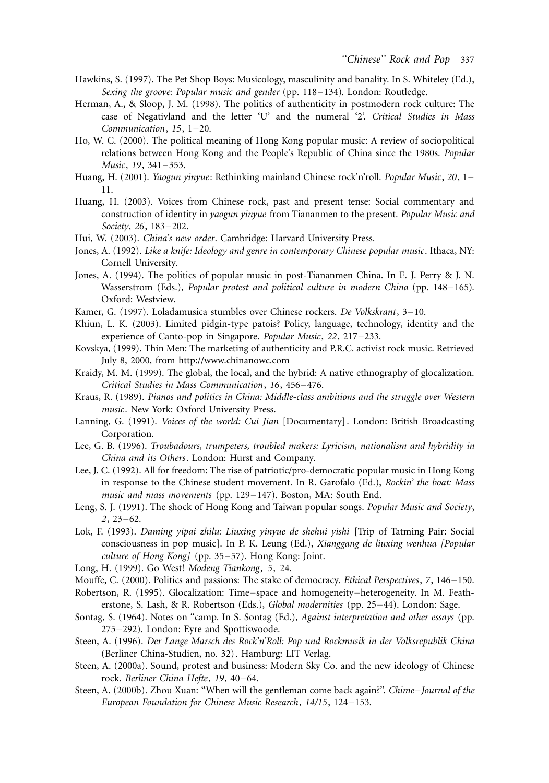- Hawkins, S. (1997). The Pet Shop Boys: Musicology, masculinity and banality. In S. Whiteley (Ed.), Sexing the groove: Popular music and gender (pp. 118-134). London: Routledge.
- Herman, A., & Sloop, J. M. (1998). The politics of authenticity in postmodern rock culture: The case of Negativland and the letter 'U' and the numeral '2'. Critical Studies in Mass Communication,  $15$ ,  $1-20$ .
- Ho, W. C. (2000). The political meaning of Hong Kong popular music: A review of sociopolitical relations between Hong Kong and the People's Republic of China since the 1980s. Popular Music, 19, 341-353.
- Huang, H. (2001). *Yaogun yinyue*: Rethinking mainland Chinese rock'n'roll. *Popular Music*, 20, 1– 11.
- Huang, H. (2003). Voices from Chinese rock, past and present tense: Social commentary and construction of identity in yaogun yinyue from Tiananmen to the present. Popular Music and Society, 26, 183-202.
- Hui, W. (2003). China's new order. Cambridge: Harvard University Press.
- Jones, A. (1992). Like a knife: Ideology and genre in contemporary Chinese popular music. Ithaca, NY: Cornell University.
- Jones, A. (1994). The politics of popular music in post-Tiananmen China. In E. J. Perry & J. N. Wasserstrom (Eds.), Popular protest and political culture in modern China (pp. 148-165). Oxford: Westview.
- Kamer, G. (1997). Loladamusica stumbles over Chinese rockers. De Volkskrant, 3-10.
- Khiun, L. K. (2003). Limited pidgin-type patois? Policy, language, technology, identity and the experience of Canto-pop in Singapore. Popular Music, 22, 217–233.
- Kovskya, (1999). Thin Men: The marketing of authenticity and P.R.C. activist rock music. Retrieved July 8, 2000, from http://www.chinanowc.com
- Kraidy, M. M. (1999). The global, the local, and the hybrid: A native ethnography of glocalization. Critical Studies in Mass Communication, 16, 456-476.
- Kraus, R. (1989). Pianos and politics in China: Middle-class ambitions and the struggle over Western music. New York: Oxford University Press.
- Lanning, G. (1991). Voices of the world: Cui Jian [Documentary]. London: British Broadcasting Corporation.
- Lee, G. B. (1996). Troubadours, trumpeters, troubled makers: Lyricism, nationalism and hybridity in China and its Others. London: Hurst and Company.
- Lee, J. C. (1992). All for freedom: The rise of patriotic/pro-democratic popular music in Hong Kong in response to the Chinese student movement. In R. Garofalo (Ed.), Rockin' the boat: Mass music and mass movements (pp.  $129-147$ ). Boston, MA: South End.
- Leng, S. J. (1991). The shock of Hong Kong and Taiwan popular songs. Popular Music and Society,  $2, 23-62.$
- Lok, F. (1993). Daming yipai zhilu: Liuxing yinyue de shehui yishi [Trip of Tatming Pair: Social consciousness in pop music]. In P. K. Leung (Ed.), Xianggang de liuxing wenhua [Popular culture of Hong Kong] (pp.  $35-57$ ). Hong Kong: Joint.
- Long, H. (1999). Go West! Modeng Tiankong, 5, 24.
- Mouffe, C. (2000). Politics and passions: The stake of democracy. *Ethical Perspectives*, 7, 146–150.
- Robertson, R. (1995). Glocalization: Time-space and homogeneity-heterogeneity. In M. Featherstone, S. Lash, & R. Robertson (Eds.), Global modernities (pp. 25-44). London: Sage.
- Sontag, S. (1964). Notes on ''camp. In S. Sontag (Ed.), Against interpretation and other essays (pp. 275-292). London: Eyre and Spottiswoode.
- Steen, A. (1996). Der Lange Marsch des Rock'n'Roll: Pop und Rockmusik in der Volksrepublik China (Berliner China-Studien, no. 32). Hamburg: LIT Verlag.
- Steen, A. (2000a). Sound, protest and business: Modern Sky Co. and the new ideology of Chinese rock. Berliner China Hefte, 19, 40-64.
- Steen, A. (2000b). Zhou Xuan: "When will the gentleman come back again?". Chime-Journal of the European Foundation for Chinese Music Research, 14/15, 124-153.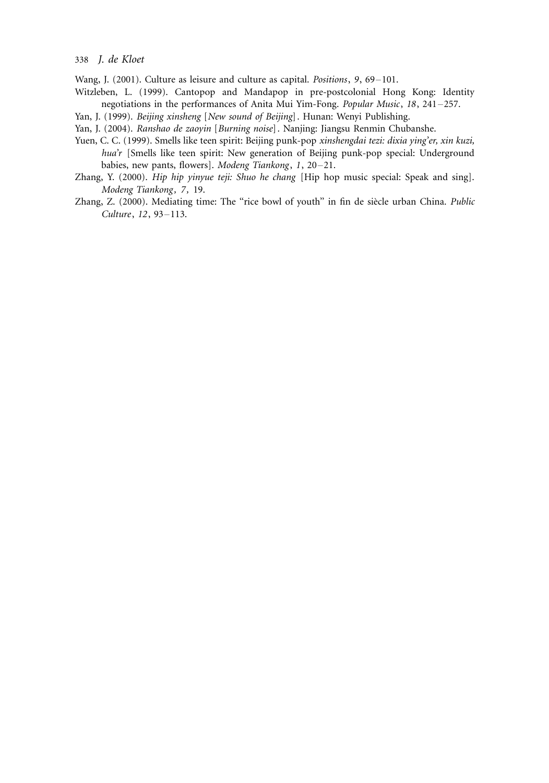Wang, J. (2001). Culture as leisure and culture as capital. *Positions*,  $9, 69-101$ .

- Witzleben, L. (1999). Cantopop and Mandapop in pre-postcolonial Hong Kong: Identity negotiations in the performances of Anita Mui Yim-Fong. Popular Music, 18, 241-257.
- Yan, J. (1999). Beijing xinsheng [New sound of Beijing]. Hunan: Wenyi Publishing.
- Yan, J. (2004). Ranshao de zaoyin [Burning noise]. Nanjing: Jiangsu Renmin Chubanshe.
- Yuen, C. C. (1999). Smells like teen spirit: Beijing punk-pop xinshengdai tezi: dixia ying'er, xin kuzi, hua'r [Smells like teen spirit: New generation of Beijing punk-pop special: Underground babies, new pants, flowers]. Modeng Tiankong, 1, 20-21.
- Zhang, Y. (2000). Hip hip yinyue teji: Shuo he chang [Hip hop music special: Speak and sing]. Modeng Tiankong, 7, 19.
- Zhang, Z. (2000). Mediating time: The "rice bowl of youth" in fin de siècle urban China. Public Culture, 12, 93-113.